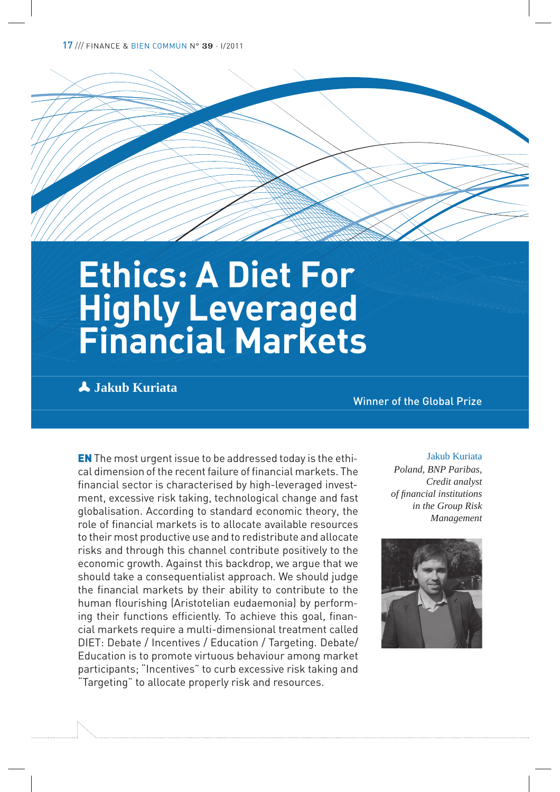17 /// FINANCE & BIEN COMMUN N° 39 · I/<sup>2011</sup>

# **Ethics: A Diet For Highly Leveraged Financial Markets**

p **Jakub Kuriata**

Winner of the Global Prize

EN The most urgent issue to be addressed today is the ethical dimension of the recent failure of financial markets. The financial sector is characterised by high-leveraged investment, excessive risk taking, technological change and fast globalisation. According to standard economic theory, the role of financial markets is to allocate available resources to their most productive use and to redistribute and allocate risks and through this channel contribute positively to the economic growth. Against this backdrop, we argue that we should take a consequentialist approach. We should judge the financial markets by their ability to contribute to the human flourishing (Aristotelian eudaemonia) by performing their functions efficiently. To achieve this goal, financial markets require a multi-dimensional treatment called DIET: Debate / Incentives / Education / Targeting. Debate/ Education is to promote virtuous behaviour among market participants; "Incentives" to curb excessive risk taking and "Targeting" to allocate properly risk and resources.

#### Jakub Kuriata

*Poland, BNP Paribas, Credit analyst of !nancial institutions in the Group Risk Management*

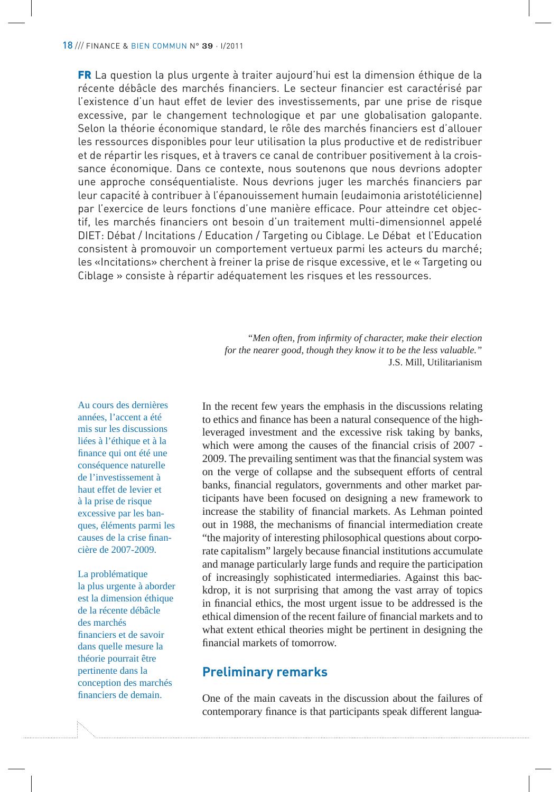FR La question la plus urgente à traiter aujourd'hui est la dimension éthique de la récente débâcle des marchés financiers. Le secteur financier est caractérisé par l'existence d'un haut effet de levier des investissements, par une prise de risque excessive, par le changement technologique et par une globalisation galopante. Selon la théorie économique standard, le rôle des marchés financiers est d'allouer les ressources disponibles pour leur utilisation la plus productive et de redistribuer et de répartir les risques, et à travers ce canal de contribuer positivement à la croissance économique. Dans ce contexte, nous soutenons que nous devrions adopter une approche conséquentialiste. Nous devrions juger les marchés financiers par leur capacité à contribuer à l'épanouissement humain (eudaimonia aristotélicienne) par l'exercice de leurs fonctions d'une manière efficace. Pour atteindre cet objectif, les marchés financiers ont besoin d'un traitement multi-dimensionnel appelé DIET: Débat / Incitations / Education / Targeting ou Ciblage. Le Débat et l'Education consistent à promouvoir un comportement vertueux parmi les acteurs du marché; les «Incitations» cherchent à freiner la prise de risque excessive, et le « Targeting ou Ciblage » consiste à répartir adéquatement les risques et les ressources.

> "*Men often, from in!rmity of character, make their election for the nearer good, though they know it to be the less valuable."*  J.S. Mill, Utilitarianism

Au cours des dernières années, l'accent a été mis sur les discussions liées à l'éthique et à la finance qui ont été une conséquence naturelle de l'investissement à haut effet de levier et à la prise de risque excessive par les banques, éléments parmi les causes de la crise financière de 2007-2009.

La problématique la plus urgente à aborder est la dimension éthique de la récente débâcle des marchés financiers et de savoir dans quelle mesure la théorie pourrait être pertinente dans la conception des marchés financiers de demain.

In the recent few years the emphasis in the discussions relating to ethics and finance has been a natural consequence of the highleveraged investment and the excessive risk taking by banks, which were among the causes of the financial crisis of 2007 -2009. The prevailing sentiment was that the financial system was on the verge of collapse and the subsequent efforts of central banks, financial regulators, governments and other market participants have been focused on designing a new framework to increase the stability of financial markets. As Lehman pointed out in 1988, the mechanisms of financial intermediation create "the majority of interesting philosophical questions about corporate capitalism" largely because financial institutions accumulate and manage particularly large funds and require the participation of increasingly sophisticated intermediaries. Against this backdrop, it is not surprising that among the vast array of topics in financial ethics, the most urgent issue to be addressed is the ethical dimension of the recent failure of financial markets and to what extent ethical theories might be pertinent in designing the financial markets of tomorrow.

## **Preliminary remarks**

One of the main caveats in the discussion about the failures of contemporary finance is that participants speak different langua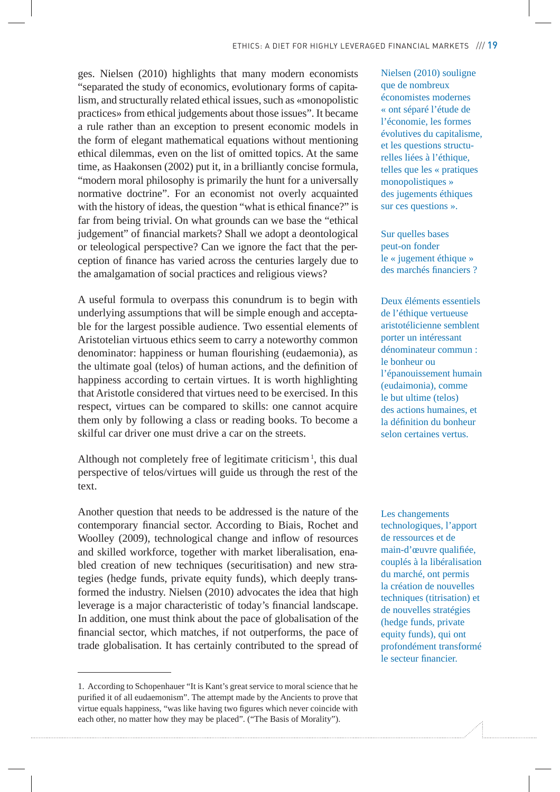ges. Nielsen (2010) highlights that many modern economists "separated the study of economics, evolutionary forms of capitalism, and structurally related ethical issues, such as «monopolistic practices» from ethical judgements about those issues". It became a rule rather than an exception to present economic models in the form of elegant mathematical equations without mentioning ethical dilemmas, even on the list of omitted topics. At the same time, as Haakonsen (2002) put it, in a brilliantly concise formula, "modern moral philosophy is primarily the hunt for a universally normative doctrine". For an economist not overly acquainted with the history of ideas, the question "what is ethical finance?" is far from being trivial. On what grounds can we base the "ethical judgement" of financial markets? Shall we adopt a deontological or teleological perspective? Can we ignore the fact that the perception of finance has varied across the centuries largely due to the amalgamation of social practices and religious views?

A useful formula to overpass this conundrum is to begin with underlying assumptions that will be simple enough and acceptable for the largest possible audience. Two essential elements of Aristotelian virtuous ethics seem to carry a noteworthy common denominator: happiness or human flourishing (eudaemonia), as the ultimate goal (telos) of human actions, and the definition of happiness according to certain virtues. It is worth highlighting that Aristotle considered that virtues need to be exercised. In this respect, virtues can be compared to skills: one cannot acquire them only by following a class or reading books. To become a skilful car driver one must drive a car on the streets.

Although not completely free of legitimate criticism<sup>1</sup>, this dual perspective of telos/virtues will guide us through the rest of the text.

Another question that needs to be addressed is the nature of the contemporary financial sector. According to Biais, Rochet and Woolley (2009), technological change and inflow of resources and skilled workforce, together with market liberalisation, enabled creation of new techniques (securitisation) and new strategies (hedge funds, private equity funds), which deeply transformed the industry. Nielsen (2010) advocates the idea that high leverage is a major characteristic of today's financial landscape. In addition, one must think about the pace of globalisation of the financial sector, which matches, if not outperforms, the pace of trade globalisation. It has certainly contributed to the spread of Nielsen (2010) souligne que de nombreux économistes modernes « ont séparé l'étude de l'économie, les formes évolutives du capitalisme, et les questions structurelles liées à l'éthique, telles que les « pratiques monopolistiques » des jugements éthiques sur ces questions ».

Sur quelles bases peut-on fonder le « jugement éthique » des marchés financiers ?

Deux éléments essentiels de l'éthique vertueuse aristotélicienne semblent porter un intéressant dénominateur commun : le bonheur ou l'épanouissement humain (eudaimonia), comme le but ultime (telos) des actions humaines, et la définition du bonheur selon certaines vertus.

Les changements technologiques, l'apport de ressources et de main-d'œuvre qualifiée, couplés à la libéralisation du marché, ont permis la création de nouvelles techniques (titrisation) et de nouvelles stratégies (hedge funds, private equity funds), qui ont profondément transformé le secteur financier.

<sup>1.</sup> According to Schopenhauer "It is Kant's great service to moral science that he purified it of all eudaemonism". The attempt made by the Ancients to prove that virtue equals happiness, "was like having two figures which never coincide with each other, no matter how they may be placed". ("The Basis of Morality").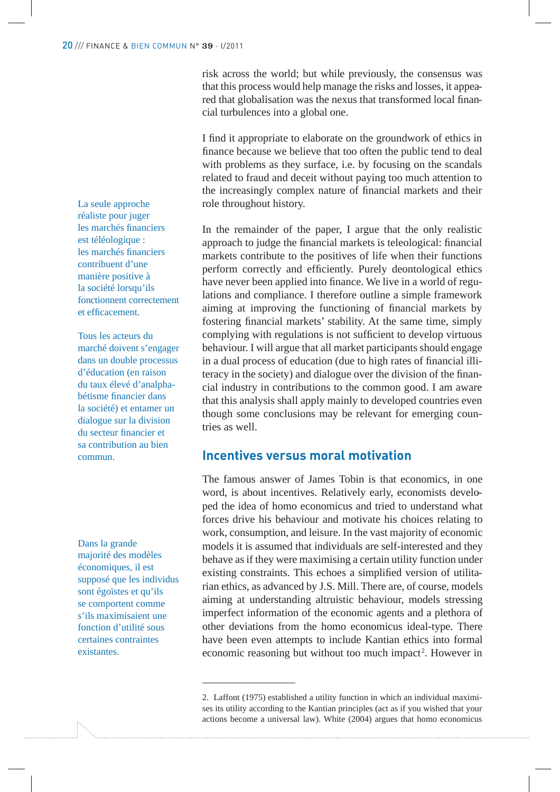risk across the world; but while previously, the consensus was that this process would help manage the risks and losses, it appeared that globalisation was the nexus that transformed local financial turbulences into a global one.

I find it appropriate to elaborate on the groundwork of ethics in finance because we believe that too often the public tend to deal with problems as they surface, i.e. by focusing on the scandals related to fraud and deceit without paying too much attention to the increasingly complex nature of financial markets and their role throughout history.

In the remainder of the paper, I argue that the only realistic approach to judge the financial markets is teleological: financial markets contribute to the positives of life when their functions perform correctly and efficiently. Purely deontological ethics have never been applied into finance. We live in a world of regulations and compliance. I therefore outline a simple framework aiming at improving the functioning of financial markets by fostering financial markets' stability. At the same time, simply complying with regulations is not sufficient to develop virtuous behaviour. I will argue that all market participants should engage in a dual process of education (due to high rates of financial illiteracy in the society) and dialogue over the division of the financial industry in contributions to the common good. I am aware that this analysis shall apply mainly to developed countries even though some conclusions may be relevant for emerging countries as well.

## **Incentives versus moral motivation**

The famous answer of James Tobin is that economics, in one word, is about incentives. Relatively early, economists developed the idea of homo economicus and tried to understand what forces drive his behaviour and motivate his choices relating to work, consumption, and leisure. In the vast majority of economic models it is assumed that individuals are self-interested and they behave as if they were maximising a certain utility function under existing constraints. This echoes a simplified version of utilitarian ethics, as advanced by J.S. Mill. There are, of course, models aiming at understanding altruistic behaviour, models stressing imperfect information of the economic agents and a plethora of other deviations from the homo economicus ideal-type. There have been even attempts to include Kantian ethics into formal economic reasoning but without too much impact<sup>2</sup>. However in

La seule approche réaliste pour juger les marchés financiers est téléologique : les marchés financiers contribuent d'une manière positive à la société lorsqu'ils fonctionnent correctement et efficacement.

Tous les acteurs du marché doivent s'engager dans un double processus d'éducation (en raison du taux élevé d'analphabétisme financier dans la société) et entamer un dialogue sur la division du secteur financier et sa contribution au bien commun.

Dans la grande majorité des modèles économiques, il est supposé que les individus sont égoïstes et qu'ils se comportent comme s'ils maximisaient une fonction d'utilité sous certaines contraintes existantes.

<sup>2.</sup> Laffont (1975) established a utility function in which an individual maximises its utility according to the Kantian principles (act as if you wished that your actions become a universal law). White (2004) argues that homo economicus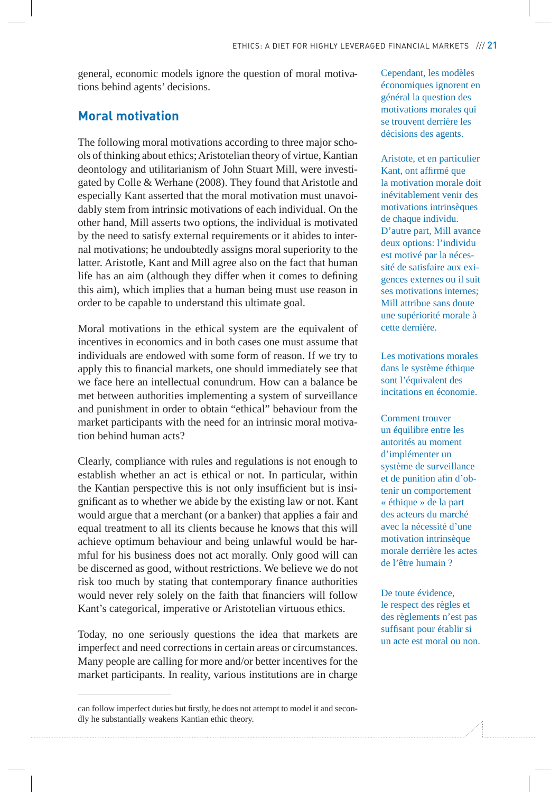general, economic models ignore the question of moral motivations behind agents' decisions.

## **Moral motivation**

The following moral motivations according to three major schools of thinking about ethics; Aristotelian theory of virtue, Kantian deontology and utilitarianism of John Stuart Mill, were investigated by Colle & Werhane (2008). They found that Aristotle and especially Kant asserted that the moral motivation must unavoidably stem from intrinsic motivations of each individual. On the other hand, Mill asserts two options, the individual is motivated by the need to satisfy external requirements or it abides to internal motivations; he undoubtedly assigns moral superiority to the latter. Aristotle, Kant and Mill agree also on the fact that human life has an aim (although they differ when it comes to defining this aim), which implies that a human being must use reason in order to be capable to understand this ultimate goal.

Moral motivations in the ethical system are the equivalent of incentives in economics and in both cases one must assume that individuals are endowed with some form of reason. If we try to apply this to financial markets, one should immediately see that we face here an intellectual conundrum. How can a balance be met between authorities implementing a system of surveillance and punishment in order to obtain "ethical" behaviour from the market participants with the need for an intrinsic moral motivation behind human acts?

Clearly, compliance with rules and regulations is not enough to establish whether an act is ethical or not. In particular, within the Kantian perspective this is not only insufficient but is insignificant as to whether we abide by the existing law or not. Kant would argue that a merchant (or a banker) that applies a fair and equal treatment to all its clients because he knows that this will achieve optimum behaviour and being unlawful would be harmful for his business does not act morally. Only good will can be discerned as good, without restrictions. We believe we do not risk too much by stating that contemporary finance authorities would never rely solely on the faith that financiers will follow Kant's categorical, imperative or Aristotelian virtuous ethics.

Today, no one seriously questions the idea that markets are imperfect and need corrections in certain areas or circumstances. Many people are calling for more and/or better incentives for the market participants. In reality, various institutions are in charge

Cependant, les modèles économiques ignorent en général la question des motivations morales qui se trouvent derrière les décisions des agents.

Aristote, et en particulier Kant, ont affirmé que la motivation morale doit inévitablement venir des motivations intrinsèques de chaque individu. D'autre part, Mill avance deux options: l'individu est motivé par la nécessité de satisfaire aux exigences externes ou il suit ses motivations internes; Mill attribue sans doute une supériorité morale à cette dernière.

Les motivations morales dans le système éthique sont l'équivalent des incitations en économie.

Comment trouver un équilibre entre les autorités au moment d'implémenter un système de surveillance et de punition afin d'obtenir un comportement « éthique » de la part des acteurs du marché avec la nécessité d'une motivation intrinsèque morale derrière les actes de l'être humain ?

De toute évidence, le respect des règles et des règlements n'est pas suffisant pour établir si un acte est moral ou non.

can follow imperfect duties but firstly, he does not attempt to model it and secondly he substantially weakens Kantian ethic theory.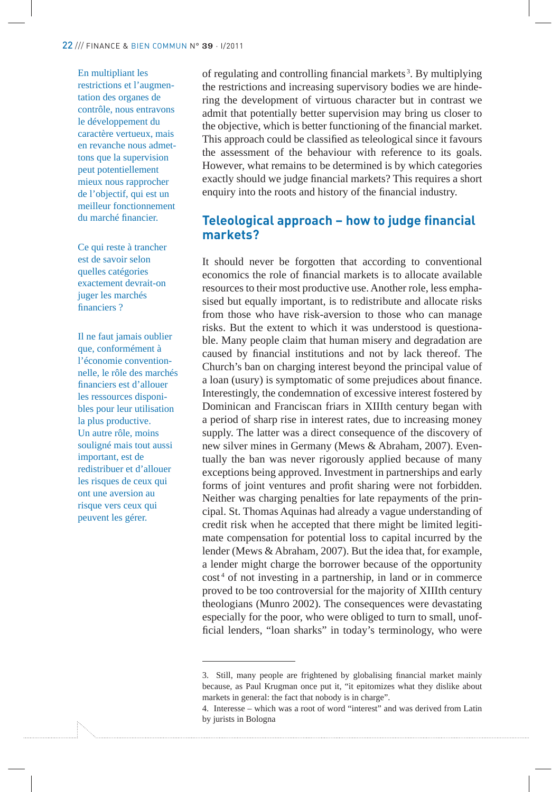En multipliant les restrictions et l'augmentation des organes de contrôle, nous entravons le développement du caractère vertueux, mais en revanche nous admettons que la supervision peut potentiellement mieux nous rapprocher de l'objectif, qui est un meilleur fonctionnement du marché financier.

Ce qui reste à trancher est de savoir selon quelles catégories exactement devrait-on juger les marchés financiers ?

Il ne faut jamais oublier que, conformément à l'économie conventionnelle, le rôle des marchés financiers est d'allouer les ressources disponibles pour leur utilisation la plus productive. Un autre rôle, moins souligné mais tout aussi important, est de redistribuer et d'allouer les risques de ceux qui ont une aversion au risque vers ceux qui peuvent les gérer.

of regulating and controlling financial markets<sup>3</sup>. By multiplying the restrictions and increasing supervisory bodies we are hindering the development of virtuous character but in contrast we admit that potentially better supervision may bring us closer to the objective, which is better functioning of the financial market. This approach could be classified as teleological since it favours the assessment of the behaviour with reference to its goals. However, what remains to be determined is by which categories exactly should we judge financial markets? This requires a short enquiry into the roots and history of the financial industry.

## **Teleological approach – how to judge financial markets?**

It should never be forgotten that according to conventional economics the role of financial markets is to allocate available resources to their most productive use. Another role, less emphasised but equally important, is to redistribute and allocate risks from those who have risk-aversion to those who can manage risks. But the extent to which it was understood is questionable. Many people claim that human misery and degradation are caused by financial institutions and not by lack thereof. The Church's ban on charging interest beyond the principal value of a loan (usury) is symptomatic of some prejudices about finance. Interestingly, the condemnation of excessive interest fostered by Dominican and Franciscan friars in XIIIth century began with a period of sharp rise in interest rates, due to increasing money supply. The latter was a direct consequence of the discovery of new silver mines in Germany (Mews & Abraham, 2007). Eventually the ban was never rigorously applied because of many exceptions being approved. Investment in partnerships and early forms of joint ventures and profit sharing were not forbidden. Neither was charging penalties for late repayments of the principal. St. Thomas Aquinas had already a vague understanding of credit risk when he accepted that there might be limited legitimate compensation for potential loss to capital incurred by the lender (Mews & Abraham, 2007). But the idea that, for example, a lender might charge the borrower because of the opportunity cost<sup>4</sup> of not investing in a partnership, in land or in commerce proved to be too controversial for the majority of XIIIth century theologians (Munro 2002). The consequences were devastating especially for the poor, who were obliged to turn to small, unof ficial lenders, "loan sharks" in today's terminology, who were

<sup>3.</sup> Still, many people are frightened by globalising financial market mainly because, as Paul Krugman once put it, "it epitomizes what they dislike about markets in general: the fact that nobody is in charge".

<sup>4.</sup> Interesse – which was a root of word "interest" and was derived from Latin by jurists in Bologna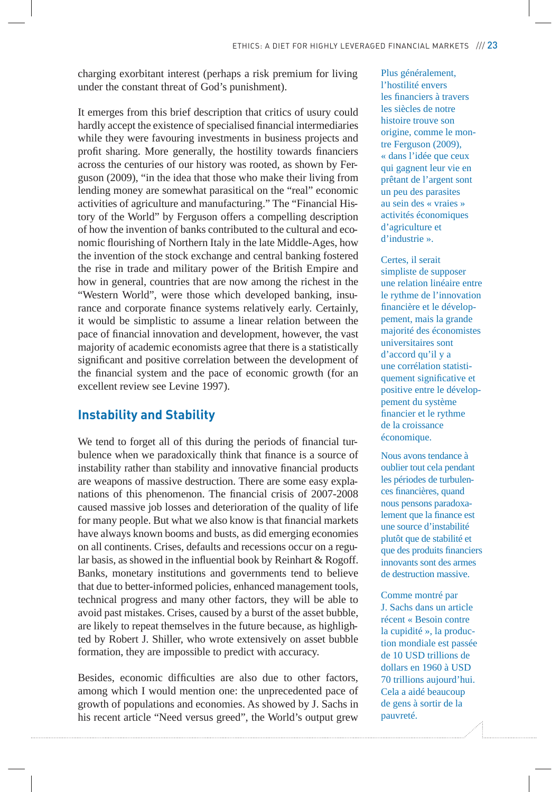charging exorbitant interest (perhaps a risk premium for living under the constant threat of God's punishment).

It emerges from this brief description that critics of usury could hardly accept the existence of specialised financial intermediaries while they were favouring investments in business projects and profit sharing. More generally, the hostility towards financiers across the centuries of our history was rooted, as shown by Ferguson (2009), "in the idea that those who make their living from lending money are somewhat parasitical on the "real" economic activities of agriculture and manufacturing." The "Financial History of the World" by Ferguson offers a compelling description of how the invention of banks contributed to the cultural and economic flourishing of Northern Italy in the late Middle-Ages, how the invention of the stock exchange and central banking fostered the rise in trade and military power of the British Empire and how in general, countries that are now among the richest in the "Western World", were those which developed banking, insurance and corporate finance systems relatively early. Certainly, it would be simplistic to assume a linear relation between the pace of financial innovation and development, however, the vast majority of academic economists agree that there is a statistically significant and positive correlation between the development of the financial system and the pace of economic growth (for an excellent review see Levine 1997).

#### **Instability and Stability**

We tend to forget all of this during the periods of financial turbulence when we paradoxically think that finance is a source of instability rather than stability and innovative financial products are weapons of massive destruction. There are some easy explanations of this phenomenon. The financial crisis of 2007-2008 caused massive job losses and deterioration of the quality of life for many people. But what we also know is that financial markets have always known booms and busts, as did emerging economies on all continents. Crises, defaults and recessions occur on a regular basis, as showed in the influential book by Reinhart & Rogoff. Banks, monetary institutions and governments tend to believe that due to better-informed policies, enhanced management tools, technical progress and many other factors, they will be able to avoid past mistakes. Crises, caused by a burst of the asset bubble, are likely to repeat themselves in the future because, as highlighted by Robert J. Shiller, who wrote extensively on asset bubble formation, they are impossible to predict with accuracy.

Besides, economic difficulties are also due to other factors, among which I would mention one: the unprecedented pace of growth of populations and economies. As showed by J. Sachs in his recent article "Need versus greed", the World's output grew Plus généralement, l'hostilité envers les financiers à travers les siècles de notre histoire trouve son origine, comme le montre Ferguson (2009), « dans l'idée que ceux qui gagnent leur vie en prêtant de l'argent sont un peu des parasites au sein des « vraies » activités économiques d'agriculture et d'industrie ».

Certes, il serait simpliste de supposer une relation linéaire entre le rythme de l'innovation financière et le développement, mais la grande majorité des économistes universitaires sont d'accord qu'il y a une corrélation statistiquement significative et positive entre le développement du système financier et le rythme de la croissance économique.

Nous avons tendance à oublier tout cela pendant les périodes de turbulences financières, quand nous pensons paradoxalement que la finance est une source d'instabilité plutôt que de stabilité et que des produits financiers innovants sont des armes de destruction massive.

Comme montré par J. Sachs dans un article récent « Besoin contre la cupidité », la production mondiale est passée de 10 USD trillions de dollars en 1960 à USD 70 trillions aujourd'hui. Cela a aidé beaucoup de gens à sortir de la pauvreté.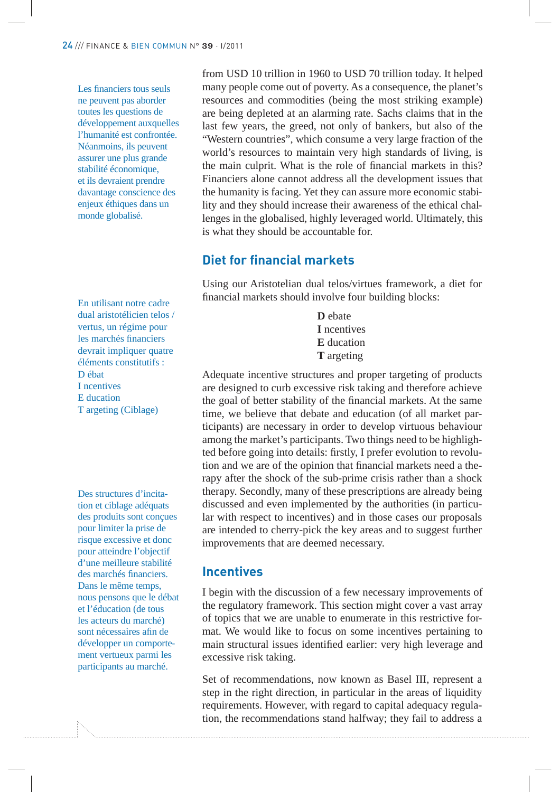Les financiers tous seuls ne peuvent pas aborder toutes les questions de développement auxquelles l'humanité est confrontée. Néanmoins, ils peuvent assurer une plus grande stabilité économique, et ils devraient prendre davantage conscience des enjeux éthiques dans un monde globalisé.

En utilisant notre cadre dual aristotélicien telos / vertus, un régime pour les marchés financiers devrait impliquer quatre éléments constitutifs : D ébat I ncentives E ducation T argeting (Ciblage)

Des structures d'incitation et ciblage adéquats des produits sont conçues pour limiter la prise de risque excessive et donc pour atteindre l'objectif d'une meilleure stabilité des marchés financiers. Dans le même temps, nous pensons que le débat et l'éducation (de tous les acteurs du marché) sont nécessaires afin de développer un comportement vertueux parmi les participants au marché.

from USD 10 trillion in 1960 to USD 70 trillion today. It helped many people come out of poverty. As a consequence, the planet's resources and commodities (being the most striking example) are being depleted at an alarming rate. Sachs claims that in the last few years, the greed, not only of bankers, but also of the "Western countries", which consume a very large fraction of the world's resources to maintain very high standards of living, is the main culprit. What is the role of financial markets in this? Financiers alone cannot address all the development issues that the humanity is facing. Yet they can assure more economic stability and they should increase their awareness of the ethical challenges in the globalised, highly leveraged world. Ultimately, this is what they should be accountable for.

## **Diet for financial markets**

Using our Aristotelian dual telos/virtues framework, a diet for financial markets should involve four building blocks:

> **D** ebate **I** ncentives **E** ducation **T** argeting

Adequate incentive structures and proper targeting of products are designed to curb excessive risk taking and therefore achieve the goal of better stability of the financial markets. At the same time, we believe that debate and education (of all market participants) are necessary in order to develop virtuous behaviour among the market's participants. Two things need to be highlighted before going into details: firstly, I prefer evolution to revolution and we are of the opinion that financial markets need a therapy after the shock of the sub-prime crisis rather than a shock therapy. Secondly, many of these prescriptions are already being discussed and even implemented by the authorities (in particular with respect to incentives) and in those cases our proposals are intended to cherry-pick the key areas and to suggest further improvements that are deemed necessary.

#### **Incentives**

I begin with the discussion of a few necessary improvements of the regulatory framework. This section might cover a vast array of topics that we are unable to enumerate in this restrictive format. We would like to focus on some incentives pertaining to main structural issues identified earlier: very high leverage and excessive risk taking.

Set of recommendations, now known as Basel III, represent a step in the right direction, in particular in the areas of liquidity requirements. However, with regard to capital adequacy regulation, the recommendations stand halfway; they fail to address a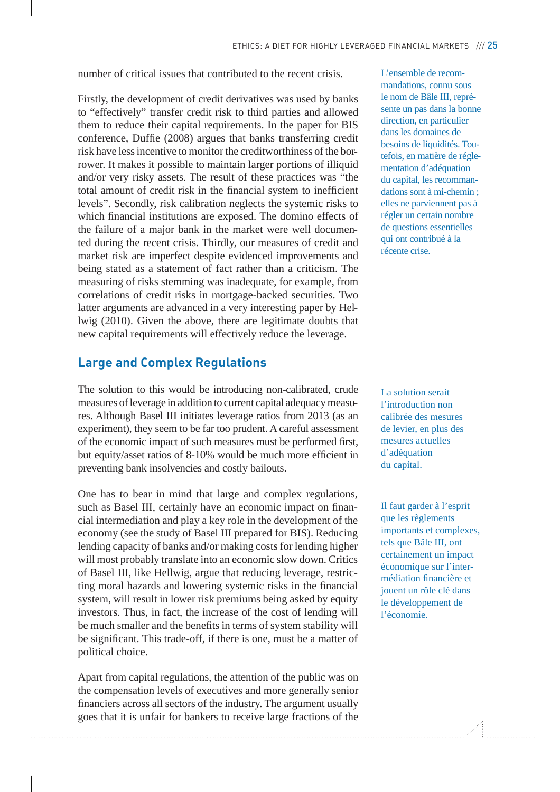number of critical issues that contributed to the recent crisis.

Firstly, the development of credit derivatives was used by banks to "effectively" transfer credit risk to third parties and allowed them to reduce their capital requirements. In the paper for BIS conference, Duffie (2008) argues that banks transferring credit risk have less incentive to monitor the creditworthiness of the borrower. It makes it possible to maintain larger portions of illiquid and/or very risky assets. The result of these practices was "the total amount of credit risk in the financial system to inefficient levels". Secondly, risk calibration neglects the systemic risks to which financial institutions are exposed. The domino effects of the failure of a major bank in the market were well documented during the recent crisis. Thirdly, our measures of credit and market risk are imperfect despite evidenced improvements and being stated as a statement of fact rather than a criticism. The measuring of risks stemming was inadequate, for example, from correlations of credit risks in mortgage-backed securities. Two latter arguments are advanced in a very interesting paper by Hellwig (2010). Given the above, there are legitimate doubts that new capital requirements will effectively reduce the leverage.

#### **Large and Complex Regulations**

The solution to this would be introducing non-calibrated, crude measures of leverage in addition to current capital adequacy measures. Although Basel III initiates leverage ratios from 2013 (as an experiment), they seem to be far too prudent. A careful assessment of the economic impact of such measures must be performed first, but equity/asset ratios of 8-10% would be much more efficient in preventing bank insolvencies and costly bailouts.

One has to bear in mind that large and complex regulations, such as Basel III, certainly have an economic impact on financial intermediation and play a key role in the development of the economy (see the study of Basel III prepared for BIS). Reducing lending capacity of banks and/or making costs for lending higher will most probably translate into an economic slow down. Critics of Basel III, like Hellwig, argue that reducing leverage, restricting moral hazards and lowering systemic risks in the financial system, will result in lower risk premiums being asked by equity investors. Thus, in fact, the increase of the cost of lending will be much smaller and the benefits in terms of system stability will be significant. This trade-off, if there is one, must be a matter of political choice.

Apart from capital regulations, the attention of the public was on the compensation levels of executives and more generally senior financiers across all sectors of the industry. The argument usually goes that it is unfair for bankers to receive large fractions of the L'ensemble de recommandations, connu sous le nom de Bâle III, représente un pas dans la bonne direction, en particulier dans les domaines de besoins de liquidités. Toutefois, en matière de réglementation d'adéquation du capital, les recommandations sont à mi-chemin ; elles ne parviennent pas à régler un certain nombre de questions essentielles qui ont contribué à la récente crise.

La solution serait l'introduction non calibrée des mesures de levier, en plus des mesures actuelles d'adéquation du capital.

Il faut garder à l'esprit que les règlements importants et complexes, tels que Bâle III, ont certainement un impact économique sur l'intermédiation financière et jouent un rôle clé dans le développement de l'économie.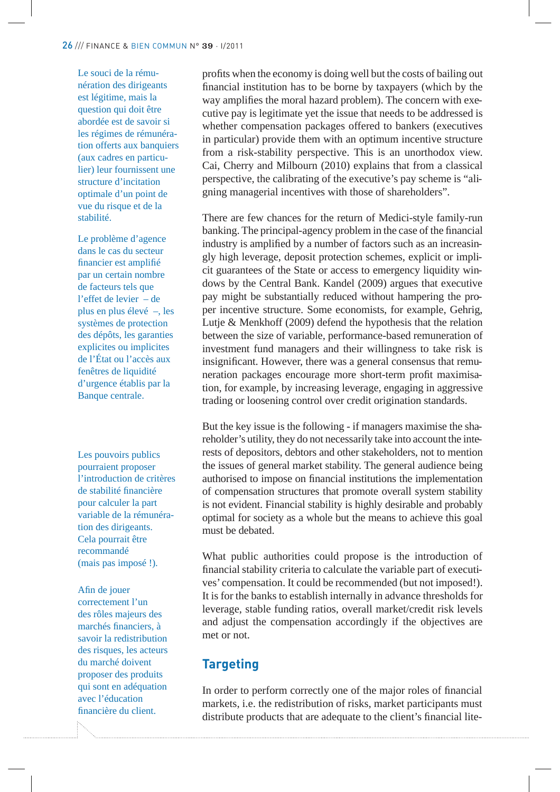Le souci de la rémunération des dirigeants est légitime, mais la question qui doit être abordée est de savoir si les régimes de rémunération offerts aux banquiers (aux cadres en particulier) leur fournissent une structure d'incitation optimale d'un point de vue du risque et de la stabilité.

Le problème d'agence dans le cas du secteur financier est amplifié par un certain nombre de facteurs tels que l'effet de levier – de plus en plus élevé –, les systèmes de protection des dépôts, les garanties explicites ou implicites de l'État ou l'accès aux fenêtres de liquidité d'urgence établis par la Banque centrale.

Les pouvoirs publics pourraient proposer l'introduction de critères de stabilité financière pour calculer la part variable de la rémunération des dirigeants. Cela pourrait être recommandé (mais pas imposé !).

Afin de jouer correctement l'un des rôles majeurs des marchés financiers, à savoir la redistribution des risques, les acteurs du marché doivent proposer des produits qui sont en adéquation avec l'éducation financière du client.

profits when the economy is doing well but the costs of bailing out financial institution has to be borne by taxpayers (which by the way amplifies the moral hazard problem). The concern with executive pay is legitimate yet the issue that needs to be addressed is whether compensation packages offered to bankers (executives in particular) provide them with an optimum incentive structure from a risk-stability perspective. This is an unorthodox view. Cai, Cherry and Milbourn (2010) explains that from a classical perspective, the calibrating of the executive's pay scheme is "aligning managerial incentives with those of shareholders".

There are few chances for the return of Medici-style family-run banking. The principal-agency problem in the case of the financial industry is amplified by a number of factors such as an increasingly high leverage, deposit protection schemes, explicit or implicit guarantees of the State or access to emergency liquidity windows by the Central Bank. Kandel (2009) argues that executive pay might be substantially reduced without hampering the proper incentive structure. Some economists, for example, Gehrig, Lutje & Menkhoff (2009) defend the hypothesis that the relation between the size of variable, performance-based remuneration of investment fund managers and their willingness to take risk is insignificant. However, there was a general consensus that remuneration packages encourage more short-term profit maximisation, for example, by increasing leverage, engaging in aggressive trading or loosening control over credit origination standards.

But the key issue is the following - if managers maximise the shareholder's utility, they do not necessarily take into account the interests of depositors, debtors and other stakeholders, not to mention the issues of general market stability. The general audience being authorised to impose on financial institutions the implementation of compensation structures that promote overall system stability is not evident. Financial stability is highly desirable and probably optimal for society as a whole but the means to achieve this goal must be debated.

What public authorities could propose is the introduction of financial stability criteria to calculate the variable part of executives' compensation. It could be recommended (but not imposed!). It is for the banks to establish internally in advance thresholds for leverage, stable funding ratios, overall market/credit risk levels and adjust the compensation accordingly if the objectives are met or not.

# **Targeting**

In order to perform correctly one of the major roles of financial markets, i.e. the redistribution of risks, market participants must distribute products that are adequate to the client's financial lite-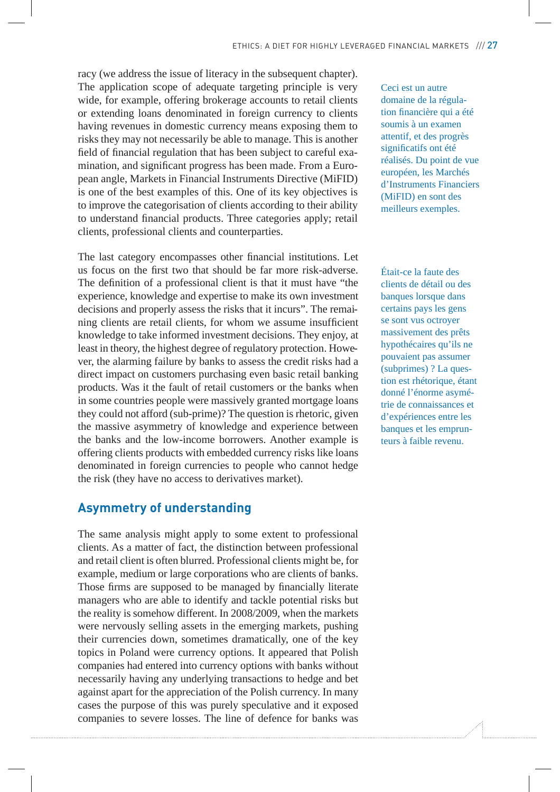racy (we address the issue of literacy in the subsequent chapter). The application scope of adequate targeting principle is very wide, for example, offering brokerage accounts to retail clients or extending loans denominated in foreign currency to clients having revenues in domestic currency means exposing them to risks they may not necessarily be able to manage. This is another field of financial regulation that has been subject to careful examination, and significant progress has been made. From a European angle, Markets in Financial Instruments Directive (MiFID) is one of the best examples of this. One of its key objectives is to improve the categorisation of clients according to their ability to understand financial products. Three categories apply; retail clients, professional clients and counterparties.

The last category encompasses other financial institutions. Let us focus on the first two that should be far more risk-adverse. The definition of a professional client is that it must have "the experience, knowledge and expertise to make its own investment decisions and properly assess the risks that it incurs". The remaining clients are retail clients, for whom we assume insufficient knowledge to take informed investment decisions. They enjoy, at least in theory, the highest degree of regulatory protection. However, the alarming failure by banks to assess the credit risks had a direct impact on customers purchasing even basic retail banking products. Was it the fault of retail customers or the banks when in some countries people were massively granted mortgage loans they could not afford (sub-prime)? The question is rhetoric, given the massive asymmetry of knowledge and experience between the banks and the low-income borrowers. Another example is offering clients products with embedded currency risks like loans denominated in foreign currencies to people who cannot hedge the risk (they have no access to derivatives market).

## **Asymmetry of understanding**

The same analysis might apply to some extent to professional clients. As a matter of fact, the distinction between professional and retail client is often blurred. Professional clients might be, for example, medium or large corporations who are clients of banks. Those firms are supposed to be managed by financially literate managers who are able to identify and tackle potential risks but the reality is somehow different. In 2008/2009, when the markets were nervously selling assets in the emerging markets, pushing their currencies down, sometimes dramatically, one of the key topics in Poland were currency options. It appeared that Polish companies had entered into currency options with banks without necessarily having any underlying transactions to hedge and bet against apart for the appreciation of the Polish currency. In many cases the purpose of this was purely speculative and it exposed companies to severe losses. The line of defence for banks was Ceci est un autre domaine de la régulation financière qui a été soumis à un examen attentif, et des progrès significatifs ont été réalisés. Du point de vue européen, les Marchés d'Instruments Financiers (MiFID) en sont des meilleurs exemples.

Était-ce la faute des clients de détail ou des banques lorsque dans certains pays les gens se sont vus octroyer massivement des prêts hypothécaires qu'ils ne pouvaient pas assumer (subprimes) ? La question est rhétorique, étant donné l'énorme asymétrie de connaissances et d'expériences entre les banques et les emprunteurs à faible revenu.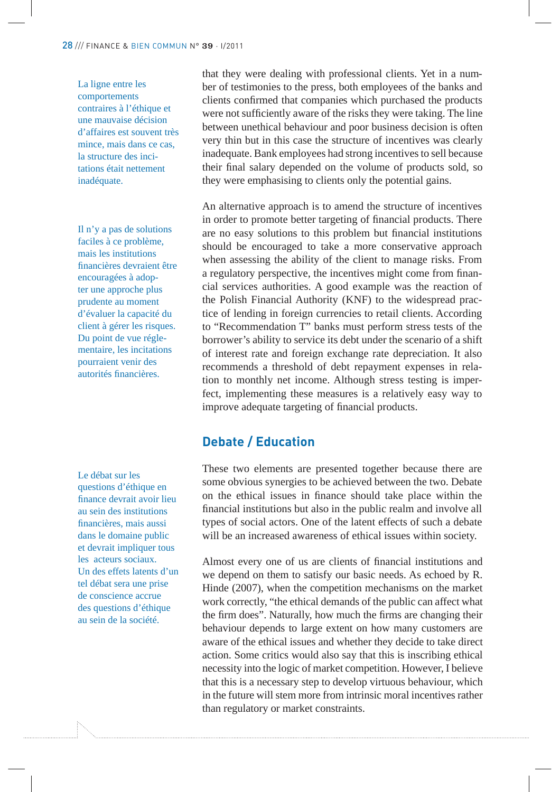#### 28 /// FINANCE & BIEN COMMUN N° 39 · I/<sup>2011</sup>

La ligne entre les comportements contraires à l'éthique et une mauvaise décision d'affaires est souvent très mince, mais dans ce cas, la structure des incitations était nettement inadéquate.

Il n'y a pas de solutions faciles à ce problème, mais les institutions financières devraient être encouragées à adopter une approche plus prudente au moment d'évaluer la capacité du client à gérer les risques. Du point de vue réglementaire, les incitations pourraient venir des autorités financières.

Le débat sur les questions d'éthique en finance devrait avoir lieu au sein des institutions financières, mais aussi dans le domaine public et devrait impliquer tous les acteurs sociaux. Un des effets latents d'un tel débat sera une prise de conscience accrue des questions d'éthique au sein de la société.

that they were dealing with professional clients. Yet in a number of testimonies to the press, both employees of the banks and clients confirmed that companies which purchased the products were not sufficiently aware of the risks they were taking. The line between unethical behaviour and poor business decision is often very thin but in this case the structure of incentives was clearly inadequate. Bank employees had strong incentives to sell because their final salary depended on the volume of products sold, so they were emphasising to clients only the potential gains.

An alternative approach is to amend the structure of incentives in order to promote better targeting of financial products. There are no easy solutions to this problem but financial institutions should be encouraged to take a more conservative approach when assessing the ability of the client to manage risks. From a regulatory perspective, the incentives might come from financial services authorities. A good example was the reaction of the Polish Financial Authority (KNF) to the widespread practice of lending in foreign currencies to retail clients. According to "Recommendation T" banks must perform stress tests of the borrower's ability to service its debt under the scenario of a shift of interest rate and foreign exchange rate depreciation. It also recommends a threshold of debt repayment expenses in relation to monthly net income. Although stress testing is imperfect, implementing these measures is a relatively easy way to improve adequate targeting of financial products.

## **Debate / Education**

These two elements are presented together because there are some obvious synergies to be achieved between the two. Debate on the ethical issues in finance should take place within the financial institutions but also in the public realm and involve all types of social actors. One of the latent effects of such a debate will be an increased awareness of ethical issues within society.

Almost every one of us are clients of financial institutions and we depend on them to satisfy our basic needs. As echoed by R. Hinde (2007), when the competition mechanisms on the market work correctly, "the ethical demands of the public can affect what the firm does". Naturally, how much the firms are changing their behaviour depends to large extent on how many customers are aware of the ethical issues and whether they decide to take direct action. Some critics would also say that this is inscribing ethical necessity into the logic of market competition. However, I believe that this is a necessary step to develop virtuous behaviour, which in the future will stem more from intrinsic moral incentives rather than regulatory or market constraints.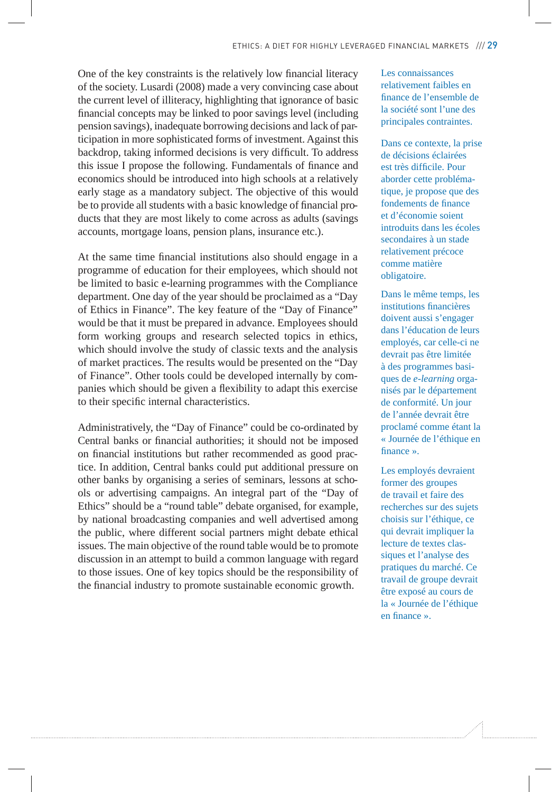One of the key constraints is the relatively low financial literacy of the society. Lusardi (2008) made a very convincing case about the current level of illiteracy, highlighting that ignorance of basic financial concepts may be linked to poor savings level (including pension savings), inadequate borrowing decisions and lack of participation in more sophisticated forms of investment. Against this backdrop, taking informed decisions is very difficult. To address this issue I propose the following. Fundamentals of finance and economics should be introduced into high schools at a relatively early stage as a mandatory subject. The objective of this would be to provide all students with a basic knowledge of financial products that they are most likely to come across as adults (savings accounts, mortgage loans, pension plans, insurance etc.).

At the same time financial institutions also should engage in a programme of education for their employees, which should not be limited to basic e-learning programmes with the Compliance department. One day of the year should be proclaimed as a "Day of Ethics in Finance". The key feature of the "Day of Finance" would be that it must be prepared in advance. Employees should form working groups and research selected topics in ethics, which should involve the study of classic texts and the analysis of market practices. The results would be presented on the "Day of Finance". Other tools could be developed internally by companies which should be given a flexibility to adapt this exercise to their specific internal characteristics.

Administratively, the "Day of Finance" could be co-ordinated by Central banks or financial authorities; it should not be imposed on financial institutions but rather recommended as good practice. In addition, Central banks could put additional pressure on other banks by organising a series of seminars, lessons at schools or advertising campaigns. An integral part of the "Day of Ethics" should be a "round table" debate organised, for example, by national broadcasting companies and well advertised among the public, where different social partners might debate ethical issues. The main objective of the round table would be to promote discussion in an attempt to build a common language with regard to those issues. One of key topics should be the responsibility of the financial industry to promote sustainable economic growth.

Les connaissances relativement faibles en finance de l'ensemble de la société sont l'une des principales contraintes.

Dans ce contexte, la prise de décisions éclairées est très difficile. Pour aborder cette problématique, je propose que des fondements de finance et d'économie soient introduits dans les écoles secondaires à un stade relativement précoce comme matière obligatoire.

Dans le même temps, les institutions financières doivent aussi s'engager dans l'éducation de leurs employés, car celle-ci ne devrait pas être limitée à des programmes basiques de *e-learning* organisés par le département de conformité. Un jour de l'année devrait être proclamé comme étant la « Journée de l'éthique en finance ».

Les employés devraient former des groupes de travail et faire des recherches sur des sujets choisis sur l'éthique, ce qui devrait impliquer la lecture de textes classiques et l'analyse des pratiques du marché. Ce travail de groupe devrait être exposé au cours de la « Journée de l'éthique en finance ».